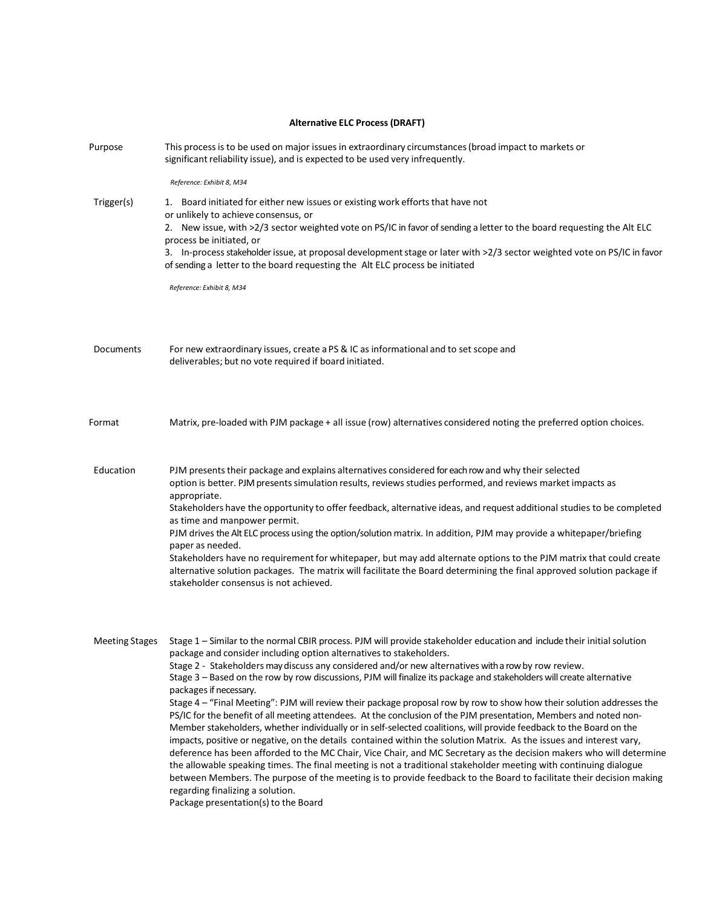| <b>Alternative ELC Process (DRAFT)</b> |                                                                                                                                                                                                                                                                                                                                                                                                                                                                                                                                                                                                                                                                                                                                                                                                                                                                                                                                                                                                                                                                                                                                                                                                                                                                                                                                                                                                      |  |  |
|----------------------------------------|------------------------------------------------------------------------------------------------------------------------------------------------------------------------------------------------------------------------------------------------------------------------------------------------------------------------------------------------------------------------------------------------------------------------------------------------------------------------------------------------------------------------------------------------------------------------------------------------------------------------------------------------------------------------------------------------------------------------------------------------------------------------------------------------------------------------------------------------------------------------------------------------------------------------------------------------------------------------------------------------------------------------------------------------------------------------------------------------------------------------------------------------------------------------------------------------------------------------------------------------------------------------------------------------------------------------------------------------------------------------------------------------------|--|--|
| Purpose                                | This process is to be used on major issues in extraordinary circumstances (broad impact to markets or<br>significant reliability issue), and is expected to be used very infrequently.                                                                                                                                                                                                                                                                                                                                                                                                                                                                                                                                                                                                                                                                                                                                                                                                                                                                                                                                                                                                                                                                                                                                                                                                               |  |  |
| Trigger(s)                             | Reference: Exhibit 8, M34<br>1. Board initiated for either new issues or existing work efforts that have not<br>or unlikely to achieve consensus, or<br>2. New issue, with >2/3 sector weighted vote on PS/IC in favor of sending a letter to the board requesting the Alt ELC<br>process be initiated, or<br>3. In-process stakeholder issue, at proposal development stage or later with >2/3 sector weighted vote on PS/IC in favor<br>of sending a letter to the board requesting the Alt ELC process be initiated<br>Reference: Exhibit 8, M34                                                                                                                                                                                                                                                                                                                                                                                                                                                                                                                                                                                                                                                                                                                                                                                                                                                  |  |  |
| <b>Documents</b>                       | For new extraordinary issues, create a PS & IC as informational and to set scope and<br>deliverables; but no vote required if board initiated.                                                                                                                                                                                                                                                                                                                                                                                                                                                                                                                                                                                                                                                                                                                                                                                                                                                                                                                                                                                                                                                                                                                                                                                                                                                       |  |  |
| Format                                 | Matrix, pre-loaded with PJM package + all issue (row) alternatives considered noting the preferred option choices.                                                                                                                                                                                                                                                                                                                                                                                                                                                                                                                                                                                                                                                                                                                                                                                                                                                                                                                                                                                                                                                                                                                                                                                                                                                                                   |  |  |
| Education                              | PJM presents their package and explains alternatives considered for each row and why their selected<br>option is better. PJM presents simulation results, reviews studies performed, and reviews market impacts as<br>appropriate.<br>Stakeholders have the opportunity to offer feedback, alternative ideas, and request additional studies to be completed<br>as time and manpower permit.<br>PJM drives the Alt ELC process using the option/solution matrix. In addition, PJM may provide a whitepaper/briefing<br>paper as needed.<br>Stakeholders have no requirement for whitepaper, but may add alternate options to the PJM matrix that could create<br>alternative solution packages. The matrix will facilitate the Board determining the final approved solution package if<br>stakeholder consensus is not achieved.                                                                                                                                                                                                                                                                                                                                                                                                                                                                                                                                                                    |  |  |
| <b>Meeting Stages</b>                  | Stage 1 - Similar to the normal CBIR process. PJM will provide stakeholder education and include their initial solution<br>package and consider including option alternatives to stakeholders.<br>Stage 2 - Stakeholders may discuss any considered and/or new alternatives with a row by row review.<br>Stage 3 - Based on the row by row discussions, PJM will finalize its package and stakeholders will create alternative<br>packages if necessary.<br>Stage 4 - "Final Meeting": PJM will review their package proposal row by row to show how their solution addresses the<br>PS/IC for the benefit of all meeting attendees. At the conclusion of the PJM presentation, Members and noted non-<br>Member stakeholders, whether individually or in self-selected coalitions, will provide feedback to the Board on the<br>impacts, positive or negative, on the details contained within the solution Matrix. As the issues and interest vary,<br>deference has been afforded to the MC Chair, Vice Chair, and MC Secretary as the decision makers who will determine<br>the allowable speaking times. The final meeting is not a traditional stakeholder meeting with continuing dialogue<br>between Members. The purpose of the meeting is to provide feedback to the Board to facilitate their decision making<br>regarding finalizing a solution.<br>Package presentation(s) to the Board |  |  |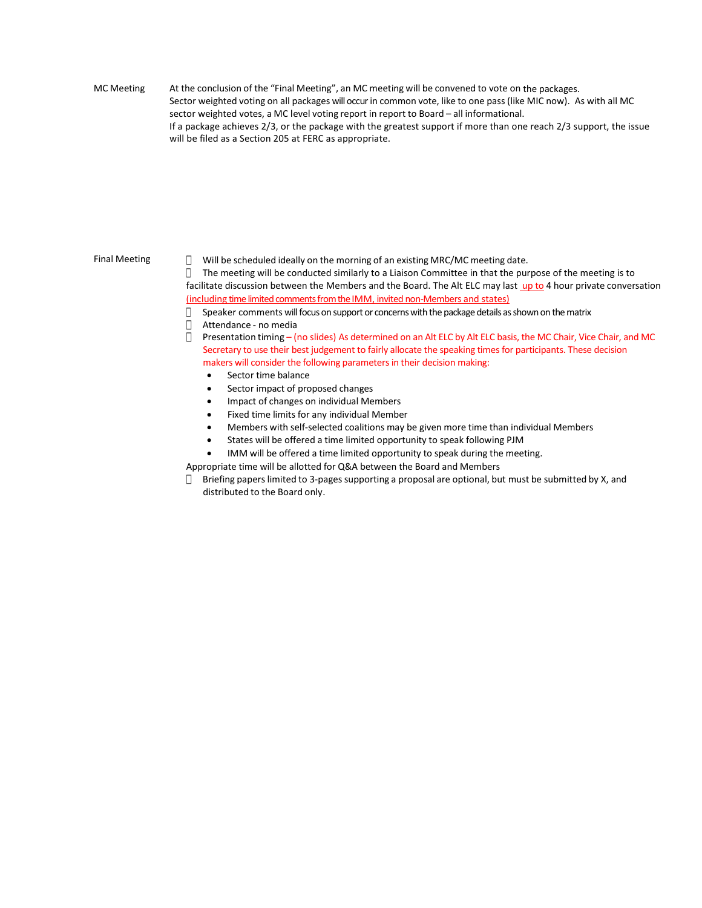MC Meeting At the conclusion of the "Final Meeting", an MC meeting will be convened to vote on the packages. Sector weighted voting on all packages will occur in common vote, like to one pass (like MIC now). As with all MC sector weighted votes, a MC level voting report in report to Board – all informational. If a package achieves 2/3, or the package with the greatest support if more than one reach 2/3 support, the issue will be filed as a Section 205 at FERC as appropriate.

Final Meeting  $\Box$  Will be scheduled ideally on the morning of an existing MRC/MC meeting date.

 $\Box$  The meeting will be conducted similarly to a Liaison Committee in that the purpose of the meeting is to facilitate discussion between the Members and the Board. The Alt ELC may last up to 4 hour private conversation (including time limited comments from the IMM, invited non-Members and states)

 $\Box$  Speaker comments will focus on support or concerns with the package details as shown on the matrix

- Attendance no media
- Presentation timing (no slides) As determined on an Alt ELC by Alt ELC basis, the MC Chair, Vice Chair, and MC Secretary to use their best judgement to fairly allocate the speaking times for participants. These decision makers will consider the following parameters in their decision making:
	- Sector time balance
	- Sector impact of proposed changes
	- Impact of changes on individual Members
	- Fixed time limits for any individual Member
	- Members with self-selected coalitions may be given more time than individual Members
	- States will be offered a time limited opportunity to speak following PJM
	- IMM will be offered a time limited opportunity to speak during the meeting.
- Appropriate time will be allotted for Q&A between the Board and Members
- $\Box$  Briefing papers limited to 3-pages supporting a proposal are optional, but must be submitted by X, and distributed to the Board only.